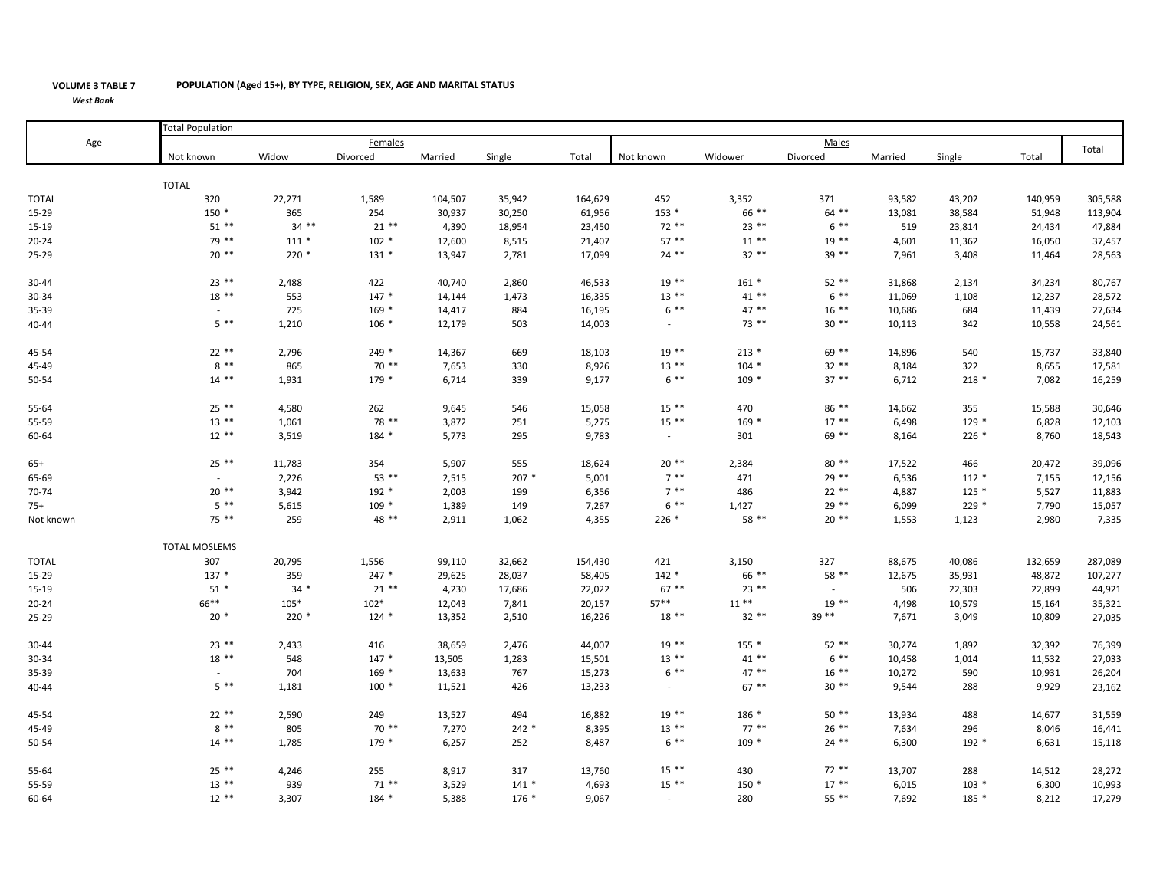## **VOLUME 3 TABLE 7** *West Bank*

Not known known Widow Divorced Married Single Total Not known Widower Divorced Married Single Total TOTAL 320 22,271 1,589 104,507 35,942 164,629 452 3,352 371 93,582 43,202 140,959 305,588 15‐29 150 \* 150 \* 365 254 30,937 30,250 61,956 153 \* 66 \*\* 64 \*\* 13,081 38,584 51,948 113,004 15‐19 51 \*\* 34 \*\* 21 \*\* 4,390 18,954 23,450 72 \*\* 23 \*\* 6 \*\* 519 23,814 24,434 47,884 20‐24 79 \*\* 111 \* 102 \* 12,600 8,515 21,407 57 \*\* 11 \*\* 19 \*\* 4,601 11,362 16,050 37,457 25‐29 20 \*\* 220 \* 131 \* 13,947 2,781 17,099 24 \*\* 32 \*\* 39 \*\* 7,961 3,408 11,464 28,563 30-44 23 \*\* 2,488 422 40,740 2,860 46,533 19 \*\* 161 \* 52 \*\* 31,868 2,134 34,234 80,767 30‐34 18 \*\* 553 147 \* 14,144 1,473 16,335 13 \*\* 41 \*\* 6 \*\* 11,069 1,108 12,237 28,572 35‐39 ‐ 725 169 \* 14,417 884 16,195 6 \*\* 47 \*\* 16 \*\* 10,686 684 11,439 27,634 40‐44 5 \*\* 1,210 106 \* 12,179 503 14,003 ‐ 73 \*\* 30 \*\* 10,113 342 10,558 24,561 45‐54 22 \*\* 2,796 249 \* 14,367 669 18,103 19 \*\* 213 \* 69 \*\* 14,896 540 15,737 33,840 45-49 8 \*\* 865 70 \*\* 7,653 330 8,926 13 \*\* 104 \* 32 \*\* 8,184 322 8,655 17,581 50‐544 14 \*\* 1,931 179 \* 6,714 339 9,177 6 \*\* 109 \* 37 \*\* 6,712 218 \* 7,082 16,259 55‐64 25 \*\* 4,580 262 9,645 546 15,058 15 \*\* 470 86 \*\* 14,662 355 15,588 30,646 55‐59 13 \*\* 1,061 78 \*\* 3,872 251 5,275 15 \*\* 169 \* 17 \*\* 6,498 129 \* 6,828 12,103 60‐644 12 \*\* 3,519 184 \* 5,773 295 9,783 - 301 69 \*\* 8,164 226 \* 8,760 18,543 65+ 25 \*\* 11,783 354 5,907 555 18,624 20 \*\* 2,384 80 \*\* 17,522 466 20,472 39,096 65‐699 2,226 53 \*\* 2,515 207 \* 5,001 7 \*\* 471 29 \*\* 6,536 112 \* 7,155 12,156 70‐744 20 \*\* 3,942 192 \* 2,003 199 6,356 7 \*\* 486 22 \*\* 4,887 125 \* 5,527 11,883 TOTAL Age Total Population Femaless and the contract of the contract of the contract of the contract of the contract of the contract of the contract of the contract of the contract of the contract of the contract of the contract of the contract of the cont Total 70-74 20 \*\* 3,942 192 \* 2,003 199 6,356 7 \*\* 486 22 \*\* 4,887 125 \* 5,527 11,883<br>75+ 5 \*\* 5.615 109 \* 1.389 149 7.267 6 \*\* 1.427 29 \*\* 6.0 5 \*\* 5,615 109 \* 1,389 149 7,267 6 \*\* 1,427 29 \*\* 6,099 229 \* 7,790 15,057 Not known t known 75 \*\* 259 48 \*\* 2,911 1,062 4,355 226 \* 20 \*\* 1,553 1,123 2,980 7,335 TOTAL 307 20,795 1,556 99,110 32,662 154,430 421 3,150 327 88,675 40,086 132,659 287,089 15‐29 137 \* 359 247 \* 29,625 28,037 58,405 142 \* 66 \*\* 58 \*\* 12,675 35,931 48,872 107,277 15‐19 51 \* 34 \* 21 \*\* 4,230 17,686 22,022 67 \*\* 23 \*\* ‐ 506 22,303 22,899 44,921 20‐24 66\*\* 105\* 102\* 12,043 7,841 20,157 57\*\* 11 \*\* 19 \*\* 4,498 10,579 15,164 35,321 25‐29 20 \* 220 \* 124 \* 13,352 2,510 16,226 18 \*\* 32 \*\* 39 \*\* 7,671 3,049 10,809 27,035 30‐44 23 \*\* 2,433 416 38,659 2,476 44,007 19 \*\* 155 \* 52 \*\* 30,274 1,892 32,392 76,399 30‐34 18 \*\* 548 147 \* 13,505 1,283 15,501 13 \*\* 41 \*\* 6 \*\* 10,458 1,014 11,532 27,033 35‐39 ‐ 704 169 \* 13,633 767 15,273 6 \*\* 47 \*\* 16 \*\* 10,272 590 10,931 26,204 40‐444 5 \*\* 1,181 100 \* 11,521 426 13,233 67 \*\* 30 \*\* 9,544 288 9,929 23,162 45‐54 22 \*\* 2,590 249 13,527 494 16,882 19 \*\* 186 \* 50 \*\* 13,934 488 14,677 31,559 45-49 8 \*\* 805 70 \*\* 7,270 242 \* 8,395 13 \*\* 77 \*\* 26 \*\* 7,634 296 8,046 16,441 50‐54 14 \*\* 1,785 179 \* 6,257 252 8,487 6 \*\* 109 \* 24 \*\* 6,300 192 \* 6,631 15,118 55‐64 25 \*\* 4,246 255 8,917 317 13,760 15 \*\* 430 72 \*\* 13,707 288 14,512 28,272 55‐59 13 \*\* 939 71 \*\* 3,529 141 \* 4,693 15 \*\* 150 \* 17 \*\* 6,015 103 \* 6,300 10,993 60‐64 12 \*\* 3,307 184 \* 5,388 176 \* 9,067 ‐ 280 55 \*\* 7,692 185 \* 8,212 17,279 TOTAL MOSLEMS